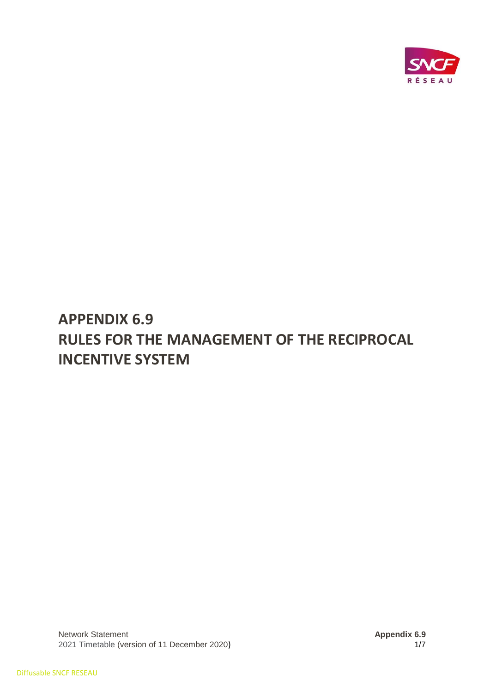

# **APPENDIX 6.9 RULES FOR THE MANAGEMENT OF THE RECIPROCAL INCENTIVE SYSTEM**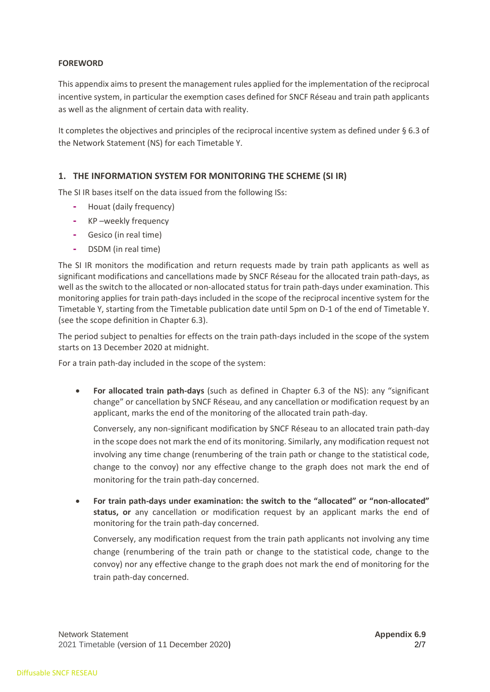## **FOREWORD**

This appendix aims to present the management rules applied for the implementation of the reciprocal incentive system, in particular the exemption cases defined for SNCF Réseau and train path applicants as well as the alignment of certain data with reality.

It completes the objectives and principles of the reciprocal incentive system as defined under § 6.3 of the Network Statement (NS) for each Timetable Y.

# **1. THE INFORMATION SYSTEM FOR MONITORING THE SCHEME (SI IR)**

The SI IR bases itself on the data issued from the following ISs:

- **-** Houat (daily frequency)
- **-** KP –weekly frequency
- **-** Gesico (in real time)
- **-** DSDM (in real time)

The SI IR monitors the modification and return requests made by train path applicants as well as significant modifications and cancellations made by SNCF Réseau for the allocated train path-days, as well as the switch to the allocated or non-allocated status for train path-days under examination. This monitoring applies for train path-days included in the scope of the reciprocal incentive system for the Timetable Y, starting from the Timetable publication date until 5pm on D-1 of the end of Timetable Y. (see the scope definition in Chapter 6.3).

The period subject to penalties for effects on the train path-days included in the scope of the system starts on 13 December 2020 at midnight.

For a train path-day included in the scope of the system:

• **For allocated train path-days** (such as defined in Chapter 6.3 of the NS): any "significant change" or cancellation by SNCF Réseau, and any cancellation or modification request by an applicant, marks the end of the monitoring of the allocated train path-day.

Conversely, any non-significant modification by SNCF Réseau to an allocated train path-day in the scope does not mark the end of its monitoring. Similarly, any modification request not involving any time change (renumbering of the train path or change to the statistical code, change to the convoy) nor any effective change to the graph does not mark the end of monitoring for the train path-day concerned.

• **For train path-days under examination: the switch to the "allocated" or "non-allocated" status, or** any cancellation or modification request by an applicant marks the end of monitoring for the train path-day concerned.

Conversely, any modification request from the train path applicants not involving any time change (renumbering of the train path or change to the statistical code, change to the convoy) nor any effective change to the graph does not mark the end of monitoring for the train path-day concerned.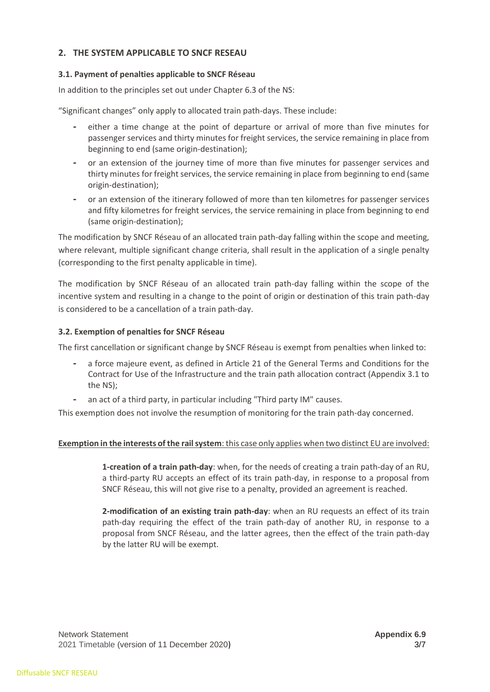# **2. THE SYSTEM APPLICABLE TO SNCF RESEAU**

## **3.1. Payment of penalties applicable to SNCF Réseau**

In addition to the principles set out under Chapter 6.3 of the NS:

"Significant changes" only apply to allocated train path-days. These include:

- **-** either a time change at the point of departure or arrival of more than five minutes for passenger services and thirty minutes for freight services, the service remaining in place from beginning to end (same origin-destination);
- **-** or an extension of the journey time of more than five minutes for passenger services and thirty minutes for freight services, the service remaining in place from beginning to end (same origin-destination);
- **-** or an extension of the itinerary followed of more than ten kilometres for passenger services and fifty kilometres for freight services, the service remaining in place from beginning to end (same origin-destination);

The modification by SNCF Réseau of an allocated train path-day falling within the scope and meeting, where relevant, multiple significant change criteria, shall result in the application of a single penalty (corresponding to the first penalty applicable in time).

The modification by SNCF Réseau of an allocated train path-day falling within the scope of the incentive system and resulting in a change to the point of origin or destination of this train path-day is considered to be a cancellation of a train path-day.

## **3.2. Exemption of penalties for SNCF Réseau**

The first cancellation or significant change by SNCF Réseau is exempt from penalties when linked to:

- **-** a force majeure event, as defined in Article 21 of the General Terms and Conditions for the Contract for Use of the Infrastructure and the train path allocation contract (Appendix 3.1 to the NS);
- **-** an act of a third party, in particular including "Third party IM" causes.

This exemption does not involve the resumption of monitoring for the train path-day concerned.

#### **Exemption in the interests of the rail system**: this case only applies when two distinct EU are involved:

**1-creation of a train path-day**: when, for the needs of creating a train path-day of an RU, a third-party RU accepts an effect of its train path-day, in response to a proposal from SNCF Réseau, this will not give rise to a penalty, provided an agreement is reached.

**2-modification of an existing train path-day**: when an RU requests an effect of its train path-day requiring the effect of the train path-day of another RU, in response to a proposal from SNCF Réseau, and the latter agrees, then the effect of the train path-day by the latter RU will be exempt.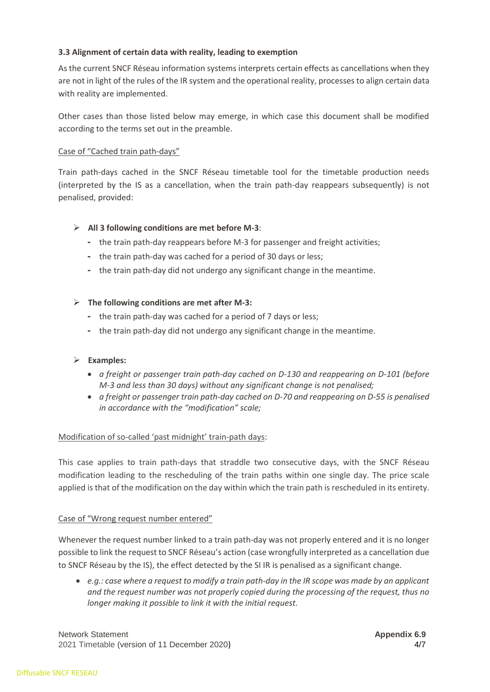## **3.3 Alignment of certain data with reality, leading to exemption**

As the current SNCF Réseau information systems interprets certain effects as cancellations when they are not in light of the rules of the IR system and the operational reality, processes to align certain data with reality are implemented.

Other cases than those listed below may emerge, in which case this document shall be modified according to the terms set out in the preamble.

## Case of "Cached train path-days"

Train path-days cached in the SNCF Réseau timetable tool for the timetable production needs (interpreted by the IS as a cancellation, when the train path-day reappears subsequently) is not penalised, provided:

## ➢ **All 3 following conditions are met before M-3**:

- **-** the train path-day reappears before M-3 for passenger and freight activities;
- **-** the train path-day was cached for a period of 30 days or less;
- **-** the train path-day did not undergo any significant change in the meantime.

## ➢ **The following conditions are met after M-3:**

- **-** the train path-day was cached for a period of 7 days or less;
- **-** the train path-day did not undergo any significant change in the meantime.

#### ➢ **Examples:**

- *a freight or passenger train path-day cached on D-130 and reappearing on D-101 (before M-3 and less than 30 days) without any significant change is not penalised;*
- *a freight or passenger train path-day cached on D-70 and reappearing on D-55 is penalised in accordance with the "modification" scale;*

#### Modification of so-called 'past midnight' train-path days:

This case applies to train path-days that straddle two consecutive days, with the SNCF Réseau modification leading to the rescheduling of the train paths within one single day. The price scale applied is that of the modification on the day within which the train path is rescheduled in its entirety.

#### Case of "Wrong request number entered"

Whenever the request number linked to a train path-day was not properly entered and it is no longer possible to link the request to SNCF Réseau's action (case wrongfully interpreted as a cancellation due to SNCF Réseau by the IS), the effect detected by the SI IR is penalised as a significant change.

• *e.g.: case where a request to modify a train path-day in the IR scope was made by an applicant and the request number was not properly copied during the processing of the request, thus no longer making it possible to link it with the initial request.* 

Network Statement **Appendix 6.9** Network Statement **Appendix 6.9** 2021 Timetable (version of 11 December 2020) 4/7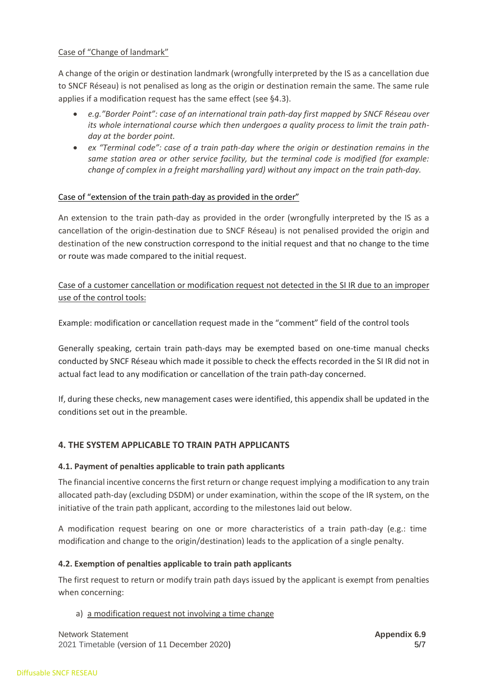## Case of "Change of landmark"

A change of the origin or destination landmark (wrongfully interpreted by the IS as a cancellation due to SNCF Réseau) is not penalised as long as the origin or destination remain the same. The same rule applies if a modification request has the same effect (see §4.3).

- *e.g."Border Point": case of an international train path-day first mapped by SNCF Réseau over its whole international course which then undergoes a quality process to limit the train pathday at the border point.*
- *ex "Terminal code": case of a train path-day where the origin or destination remains in the same station area or other service facility, but the terminal code is modified (for example: change of complex in a freight marshalling yard) without any impact on the train path-day.*

## Case of "extension of the train path-day as provided in the order"

An extension to the train path-day as provided in the order (wrongfully interpreted by the IS as a cancellation of the origin-destination due to SNCF Réseau) is not penalised provided the origin and destination of the new construction correspond to the initial request and that no change to the time or route was made compared to the initial request.

Case of a customer cancellation or modification request not detected in the SI IR due to an improper use of the control tools:

Example: modification or cancellation request made in the "comment" field of the control tools

Generally speaking, certain train path-days may be exempted based on one-time manual checks conducted by SNCF Réseau which made it possible to check the effects recorded in the SI IR did not in actual fact lead to any modification or cancellation of the train path-day concerned.

If, during these checks, new management cases were identified, this appendix shall be updated in the conditions set out in the preamble.

## **4. THE SYSTEM APPLICABLE TO TRAIN PATH APPLICANTS**

#### **4.1. Payment of penalties applicable to train path applicants**

The financial incentive concerns the first return or change request implying a modification to any train allocated path-day (excluding DSDM) or under examination, within the scope of the IR system, on the initiative of the train path applicant, according to the milestones laid out below.

A modification request bearing on one or more characteristics of a train path-day (e.g.: time modification and change to the origin/destination) leads to the application of a single penalty.

#### **4.2. Exemption of penalties applicable to train path applicants**

The first request to return or modify train path days issued by the applicant is exempt from penalties when concerning:

#### a) a modification request not involving a time change

Network Statement **Appendix 6.9** Network Statement **Appendix 6.9** 2021 Timetable (version of 11 December 2020) 5/7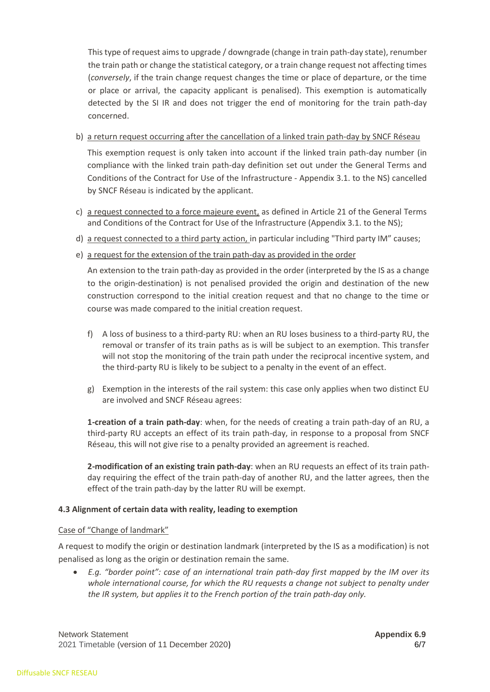This type of request aims to upgrade / downgrade (change in train path-day state), renumber the train path or change the statistical category, or a train change request not affecting times (*conversely*, if the train change request changes the time or place of departure, or the time or place or arrival, the capacity applicant is penalised). This exemption is automatically detected by the SI IR and does not trigger the end of monitoring for the train path-day concerned.

b) a return request occurring after the cancellation of a linked train path-day by SNCF Réseau

This exemption request is only taken into account if the linked train path-day number (in compliance with the linked train path-day definition set out under the General Terms and Conditions of the Contract for Use of the Infrastructure - Appendix 3.1. to the NS) cancelled by SNCF Réseau is indicated by the applicant.

- c) a request connected to a force majeure event, as defined in Article 21 of the General Terms and Conditions of the Contract for Use of the Infrastructure (Appendix 3.1. to the NS);
- d) a request connected to a third party action, in particular including "Third party IM" causes;
- e) a request for the extension of the train path-day as provided in the order

An extension to the train path-day as provided in the order (interpreted by the IS as a change to the origin-destination) is not penalised provided the origin and destination of the new construction correspond to the initial creation request and that no change to the time or course was made compared to the initial creation request.

- f) A loss of business to a third-party RU: when an RU loses business to a third-party RU, the removal or transfer of its train paths as is will be subject to an exemption. This transfer will not stop the monitoring of the train path under the reciprocal incentive system, and the third-party RU is likely to be subject to a penalty in the event of an effect.
- g) Exemption in the interests of the rail system: this case only applies when two distinct EU are involved and SNCF Réseau agrees:

**1-creation of a train path-day**: when, for the needs of creating a train path-day of an RU, a third-party RU accepts an effect of its train path-day, in response to a proposal from SNCF Réseau, this will not give rise to a penalty provided an agreement is reached.

**2-modification of an existing train path-day**: when an RU requests an effect of its train pathday requiring the effect of the train path-day of another RU, and the latter agrees, then the effect of the train path-day by the latter RU will be exempt.

#### **4.3 Alignment of certain data with reality, leading to exemption**

#### Case of "Change of landmark"

A request to modify the origin or destination landmark (interpreted by the IS as a modification) is not penalised as long as the origin or destination remain the same.

• *E.g. "border point": case of an international train path-day first mapped by the IM over its whole international course, for which the RU requests a change not subject to penalty under the IR system, but applies it to the French portion of the train path-day only.* 

Network Statement **Appendix 6.9** Network Statement **Appendix 6.9** 2021 Timetable (version of 11 December 2020) 6/7